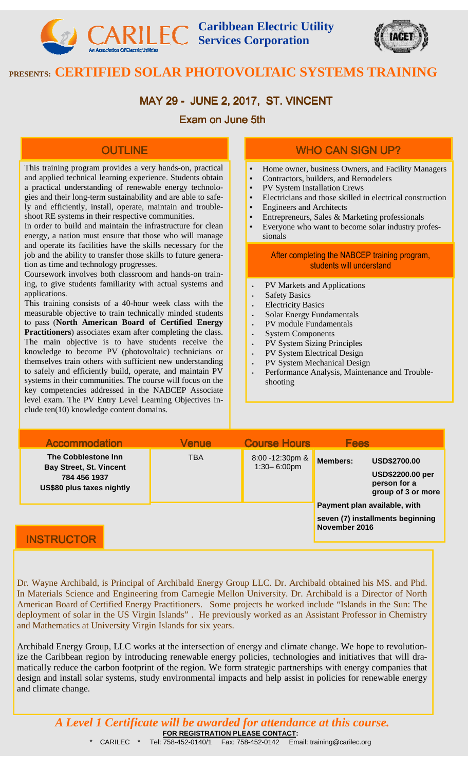**Caribbean Electric Utility Services Corporation** 



# **PRESENTS: CERTIFIED SOLAR PHOTOVOLTAIC SYSTEMS TRAINING**

# MAY 29 - JUNE 2, 2017, ST. VINCENT

### Exam on June 5th

### **OUTLINE**

This training program provides a very hands-on, practical **I.** Home owner, business Owners, and Facility Managers and applied technical learning experience. Students obtain a practical understanding of renewable energy technologies and their long-term sustainability and are able to safely and efficiently, install, operate, maintain and troubleshoot RE systems in their respective communities.

In order to build and maintain the infrastructure for clean energy, a nation must ensure that those who will manage and operate its facilities have the skills necessary for the job and the ability to transfer those skills to future generation as time and technology progresses.

Coursework involves both classroom and hands-on training, to give students familiarity with actual systems and applications.

This training consists of a 40-hour week class with the measurable objective to train technically minded students to pass (**North American Board of Certified Energy Practitioners**) associates exam after completing the class. The main objective is to have students receive the knowledge to become PV (photovoltaic) technicians or themselves train others with sufficient new understanding to safely and efficiently build, operate, and maintain PV systems in their communities. The course will focus on the key competencies addressed in the NABCEP Associate level exam. The PV Entry Level Learning Objectives include ten(10) knowledge content domains.

## WHO CAN SIGN UP?

- 
- Contractors, builders, and Remodelers
- PV System Installation Crews
- Electricians and those skilled in electrical construction
- Engineers and Architects
- Entrepreneurs, Sales & Marketing professionals
- Everyone who want to become solar industry professionals

#### After completing the NABCEP training program, students will understand

- PV Markets and Applications
- **Safety Basics**
- **Electricity Basics**
- Solar Energy Fundamentals
- PV module Fundamentals
- **System Components**
- PV System Sizing Principles
- PV System Electrical Design
- PV System Mechanical Design
- Performance Analysis, Maintenance and Troubleshooting

| <b>Accommodation</b>                                                                               | <b>Venue</b> | <b>Course Hours</b>                 | <b>Fees</b>                                                                                             |  |
|----------------------------------------------------------------------------------------------------|--------------|-------------------------------------|---------------------------------------------------------------------------------------------------------|--|
| The Cobblestone Inn<br><b>Bay Street, St. Vincent</b><br>784 456 1937<br>US\$80 plus taxes nightly | <b>TBA</b>   | 8:00 -12:30pm &<br>$1:30 - 6:00$ pm | <b>Members:</b><br><b>USD\$2700.00</b><br><b>USD\$2200.00 per</b><br>person for a<br>group of 3 or more |  |
| INIST DI ICT                                                                                       |              |                                     | Payment plan available, with<br>seven (7) installments beginning<br>November 2016                       |  |

### **INSTRUCTOR**

Dr. Wayne Archibald, is Principal of Archibald Energy Group LLC. Dr. Archibald obtained his MS. and Phd. In Materials Science and Engineering from Carnegie Mellon University. Dr. Archibald is a Director of North American Board of Certified Energy Practitioners. Some projects he worked include "Islands in the Sun: The deployment of solar in the US Virgin Islands" . He previously worked as an Assistant Professor in Chemistry and Mathematics at University Virgin Islands for six years.

Archibald Energy Group, LLC works at the intersection of energy and climate change. We hope to revolutionize the Caribbean region by introducing renewable energy policies, technologies and initiatives that will dramatically reduce the carbon footprint of the region. We form strategic partnerships with energy companies that design and install solar systems, study environmental impacts and help assist in policies for renewable energy and climate change.

**FOR REGISTRATION PLEASE CONTACT:**  \* CARILEC \* Tel: 758-452-0140/1 Fax: 758-452-0142 Email: training@carilec.org *A Level 1 Certificate will be awarded for attendance at this course.*